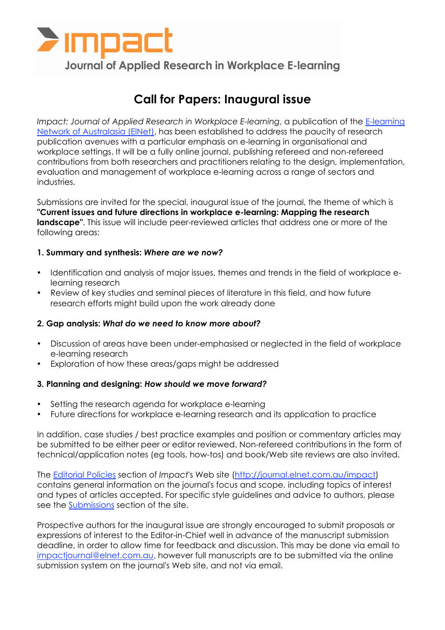

# **Journal of Applied Research in Workplace E-learning**

# **Call for Papers: Inaugural issue**

*Impact: Journal of Applied Research in Workplace E-learning*, a publication of the E-learning Network of Australasia (ElNet), has been established to address the paucity of research publication avenues with a particular emphasis on e-learning in organisational and workplace settings. It will be a fully online journal, publishing refereed and non-refereed contributions from both researchers and practitioners relating to the design, implementation, evaluation and management of workplace e-learning across a range of sectors and industries.

Submissions are invited for the special, inaugural issue of the journal, the theme of which is **"Current issues and future directions in workplace e-learning: Mapping the research landscape"**. This issue will include peer-reviewed articles that address one or more of the following areas:

### **1. Summary and synthesis:** *Where are we now?*

- Identification and analysis of major issues, themes and trends in the field of workplace elearning research
- Review of key studies and seminal pieces of literature in this field, and how future research efforts might build upon the work already done

#### **2. Gap analysis:** *What do we need to know more about?*

- Discussion of areas have been under-emphasised or neglected in the field of workplace e-learning research
- Exploration of how these areas/gaps might be addressed

#### **3. Planning and designing:** *How should we move forward?*

- Setting the research agenda for workplace e-learning
- Future directions for workplace e-learning research and its application to practice

In addition, case studies / best practice examples and position or commentary articles may be submitted to be either peer or editor reviewed. Non-refereed contributions in the form of technical/application notes (eg tools, how-tos) and book/Web site reviews are also invited.

The Editorial Policies section of *Impact*'s Web site (http://journal.elnet.com.au/impact) contains general information on the journal's focus and scope, including topics of interest and types of articles accepted. For specific style guidelines and advice to authors, please see the Submissions section of the site.

Prospective authors for the inaugural issue are strongly encouraged to submit proposals or expressions of interest to the Editor-in-Chief well in advance of the manuscript submission deadline, in order to allow time for feedback and discussion. This may be done via email to impactjournal@elnet.com.au, however full manuscripts are to be submitted via the online submission system on the journal's Web site, and not via email.